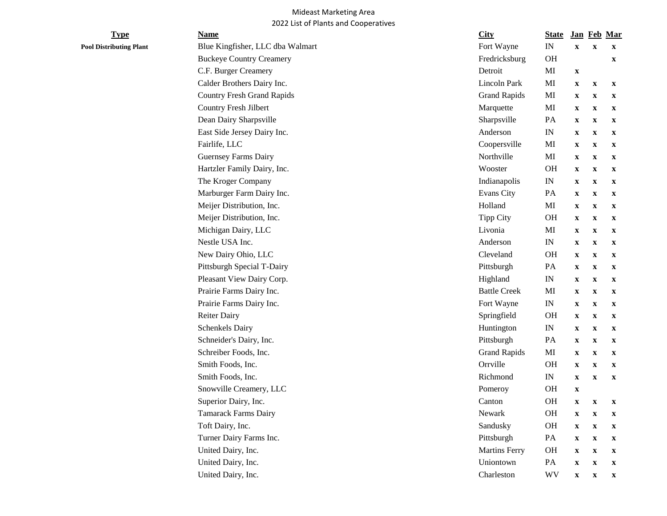## Mideast Marketing Area 2022 List of Plants and Cooperatives

|    | <b>Name</b>                       | <b>City</b>          | <b>State</b>             |                           |                           | Jan Feb Mar  |
|----|-----------------------------------|----------------------|--------------------------|---------------------------|---------------------------|--------------|
| nt | Blue Kingfisher, LLC dba Walmart  | Fort Wayne           | $\ensuremath{\text{IN}}$ | $\boldsymbol{\mathrm{X}}$ | $\boldsymbol{\mathrm{X}}$ | $\mathbf{X}$ |
|    | <b>Buckeye Country Creamery</b>   | Fredricksburg        | <b>OH</b>                |                           |                           | $\mathbf X$  |
|    | C.F. Burger Creamery              | Detroit              | MI                       | $\mathbf X$               |                           |              |
|    | Calder Brothers Dairy Inc.        | Lincoln Park         | MI                       | $\mathbf X$               | $\mathbf X$               | $\mathbf{X}$ |
|    | <b>Country Fresh Grand Rapids</b> | <b>Grand Rapids</b>  | MI                       | $\mathbf X$               | $\mathbf X$               | $\mathbf{x}$ |
|    | Country Fresh Jilbert             | Marquette            | MI                       | $\mathbf X$               | $\boldsymbol{\mathrm{X}}$ | $\mathbf x$  |
|    | Dean Dairy Sharpsville            | Sharpsville          | PA                       | $\mathbf X$               | $\mathbf X$               | $\mathbf X$  |
|    | East Side Jersey Dairy Inc.       | Anderson             | IN                       | $\mathbf X$               | $\mathbf X$               | $\mathbf X$  |
|    | Fairlife, LLC                     | Coopersville         | MI                       | $\mathbf x$               | $\mathbf{x}$              | $\mathbf{x}$ |
|    | <b>Guernsey Farms Dairy</b>       | Northville           | MI                       | $\mathbf X$               | $\mathbf X$               | $\mathbf{X}$ |
|    | Hartzler Family Dairy, Inc.       | Wooster              | <b>OH</b>                | $\mathbf X$               | $\mathbf X$               | $\mathbf{x}$ |
|    | The Kroger Company                | Indianapolis         | IN                       | $\mathbf X$               | $\mathbf X$               | $\mathbf{x}$ |
|    | Marburger Farm Dairy Inc.         | <b>Evans City</b>    | PA                       | $\mathbf X$               | $\mathbf{x}$              | $\mathbf x$  |
|    | Meijer Distribution, Inc.         | Holland              | MI                       | $\mathbf X$               | $\mathbf X$               | $\mathbf{x}$ |
|    | Meijer Distribution, Inc.         | <b>Tipp City</b>     | <b>OH</b>                | $\mathbf X$               | $\mathbf X$               | $\mathbf{x}$ |
|    | Michigan Dairy, LLC               | Livonia              | MI                       | $\mathbf X$               | $\mathbf X$               | $\mathbf{x}$ |
|    | Nestle USA Inc.                   | Anderson             | IN                       | $\mathbf X$               | $\mathbf X$               | $\mathbf X$  |
|    | New Dairy Ohio, LLC               | Cleveland            | <b>OH</b>                | $\mathbf x$               | $\mathbf{x}$              | $\mathbf{x}$ |
|    | Pittsburgh Special T-Dairy        | Pittsburgh           | PA                       | $\mathbf X$               | $\mathbf X$               | $\mathbf{x}$ |
|    | Pleasant View Dairy Corp.         | Highland             | IN                       | $\mathbf X$               | $\boldsymbol{\mathrm{X}}$ | $\mathbf{x}$ |
|    | Prairie Farms Dairy Inc.          | <b>Battle Creek</b>  | MI                       | $\mathbf X$               | $\mathbf X$               | $\mathbf X$  |
|    | Prairie Farms Dairy Inc.          | Fort Wayne           | IN                       | $\mathbf X$               | $\mathbf X$               | $\mathbf x$  |
|    | <b>Reiter Dairy</b>               | Springfield          | <b>OH</b>                | $\mathbf X$               | $\mathbf X$               | $\mathbf{X}$ |
|    | <b>Schenkels Dairy</b>            | Huntington           | IN                       | $\mathbf X$               | $\mathbf{x}$              | $\mathbf{x}$ |
|    | Schneider's Dairy, Inc.           | Pittsburgh           | PA                       | $\mathbf X$               | $\mathbf X$               | $\mathbf{x}$ |
|    | Schreiber Foods, Inc.             | <b>Grand Rapids</b>  | MI                       | $\mathbf X$               | $\mathbf X$               | $\mathbf{x}$ |
|    | Smith Foods, Inc.                 | Orrville             | <b>OH</b>                | $\mathbf X$               | $\mathbf{x}$              | $\mathbf x$  |
|    | Smith Foods, Inc.                 | Richmond             | IN                       | $\mathbf X$               | $\mathbf X$               | $\mathbf x$  |
|    | Snowville Creamery, LLC           | Pomeroy              | <b>OH</b>                | $\mathbf X$               |                           |              |
|    | Superior Dairy, Inc.              | Canton               | <b>OH</b>                | $\mathbf X$               | $\mathbf X$               | $\mathbf X$  |
|    | <b>Tamarack Farms Dairy</b>       | Newark               | <b>OH</b>                | $\mathbf X$               | $\boldsymbol{\mathrm{X}}$ | $\mathbf X$  |
|    | Toft Dairy, Inc.                  | Sandusky             | OH                       | $\mathbf X$               | $\boldsymbol{\mathrm{X}}$ | $\mathbf X$  |
|    | Turner Dairy Farms Inc.           | Pittsburgh           | PA                       | $\boldsymbol{\mathrm{X}}$ | $\boldsymbol{\mathrm{X}}$ | $\mathbf{x}$ |
|    | United Dairy, Inc.                | <b>Martins Ferry</b> | OH                       | $\boldsymbol{\mathrm{X}}$ | $\mathbf X$               | $\mathbf{x}$ |
|    | United Dairy, Inc.                | Uniontown            | PA                       | $\mathbf X$               | $\mathbf X$               | $\mathbf{X}$ |
|    | United Dairy, Inc.                | Charleston           | <b>WV</b>                | $\boldsymbol{\mathrm{X}}$ | $\mathbf{x}$              | $\mathbf{X}$ |
|    |                                   |                      |                          |                           |                           |              |

## **Type**

**Pool Distributing Plant**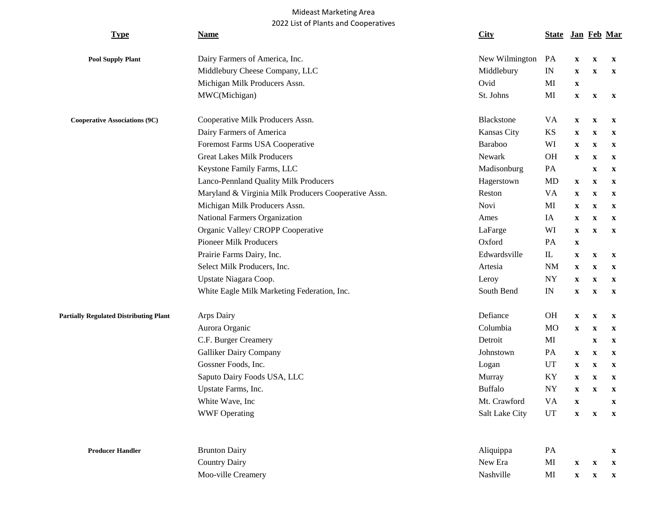## Mideast Marketing Area 2022 List of Plants and Cooperatives

| <b>Type</b>                                                           | <b>Name</b>                                          | <b>City</b>    | <b>State</b>                                                                                                                                                                                                                    |              |                           | Jan Feb Mar  |
|-----------------------------------------------------------------------|------------------------------------------------------|----------------|---------------------------------------------------------------------------------------------------------------------------------------------------------------------------------------------------------------------------------|--------------|---------------------------|--------------|
| <b>Pool Supply Plant</b>                                              | Dairy Farmers of America, Inc.                       | New Wilmington | PA                                                                                                                                                                                                                              | $\mathbf{X}$ | $\mathbf X$               | $\mathbf{x}$ |
|                                                                       | Middlebury Cheese Company, LLC                       | Middlebury     | $\ensuremath{\text{IN}}$                                                                                                                                                                                                        | $\mathbf X$  | $\mathbf X$               | $\mathbf{X}$ |
|                                                                       | Michigan Milk Producers Assn.                        | Ovid           | MI                                                                                                                                                                                                                              | $\mathbf X$  |                           |              |
|                                                                       | MWC(Michigan)                                        | St. Johns      | MI                                                                                                                                                                                                                              | $\mathbf{x}$ | $\mathbf X$               | $\mathbf X$  |
| <b>Cooperative Associations (9C)</b>                                  | Cooperative Milk Producers Assn.                     | Blackstone     | VA                                                                                                                                                                                                                              | $\mathbf X$  | $\mathbf X$               | $\mathbf{x}$ |
|                                                                       | Dairy Farmers of America                             | Kansas City    | KS                                                                                                                                                                                                                              | $\mathbf{X}$ | $\mathbf X$               | $\mathbf X$  |
|                                                                       | Foremost Farms USA Cooperative                       | Baraboo        | WI                                                                                                                                                                                                                              | $\mathbf{X}$ | $\mathbf X$               | $\mathbf{x}$ |
|                                                                       | <b>Great Lakes Milk Producers</b>                    | Newark         | <b>OH</b>                                                                                                                                                                                                                       | $\mathbf X$  | $\mathbf X$               | $\mathbf X$  |
|                                                                       | Keystone Family Farms, LLC                           | Madisonburg    | PA                                                                                                                                                                                                                              |              | $\mathbf X$               | $\mathbf{x}$ |
|                                                                       | Lanco-Pennland Quality Milk Producers                | Hagerstown     | <b>MD</b>                                                                                                                                                                                                                       | $\mathbf{x}$ | $\mathbf X$               | $\mathbf X$  |
|                                                                       | Maryland & Virginia Milk Producers Cooperative Assn. | Reston         | <b>VA</b>                                                                                                                                                                                                                       | $\mathbf{X}$ | $\mathbf X$               | $\mathbf{x}$ |
|                                                                       | Michigan Milk Producers Assn.                        | Novi           | MI                                                                                                                                                                                                                              | $\mathbf{x}$ | $\mathbf X$               | $\mathbf{x}$ |
|                                                                       | National Farmers Organization                        | Ames           | IA                                                                                                                                                                                                                              | $\mathbf{X}$ | $\mathbf X$               | $\mathbf{x}$ |
|                                                                       | Organic Valley/ CROPP Cooperative                    | LaFarge        | WI                                                                                                                                                                                                                              | $\mathbf{x}$ | $\mathbf X$               | $\mathbf X$  |
|                                                                       | <b>Pioneer Milk Producers</b>                        | Oxford         | PA                                                                                                                                                                                                                              | $\mathbf{x}$ |                           |              |
|                                                                       | Prairie Farms Dairy, Inc.                            | Edwardsville   | IL                                                                                                                                                                                                                              | $\mathbf{x}$ | $\mathbf{x}$              | $\mathbf{x}$ |
|                                                                       | Select Milk Producers, Inc.                          | Artesia        | <b>NM</b>                                                                                                                                                                                                                       | $\mathbf{x}$ | $\mathbf X$               | $\mathbf{x}$ |
|                                                                       | Upstate Niagara Coop.                                | Leroy          | ${\rm NY}$                                                                                                                                                                                                                      | $\mathbf{x}$ | $\mathbf X$               | $\mathbf X$  |
|                                                                       | White Eagle Milk Marketing Federation, Inc.          | South Bend     | IN                                                                                                                                                                                                                              | $\mathbf{x}$ | $\mathbf X$               | $\mathbf X$  |
| <b>Partially Regulated Distributing Plant</b>                         | Arps Dairy                                           | Defiance       | <b>OH</b>                                                                                                                                                                                                                       | $\mathbf X$  | $\mathbf X$               | $\mathbf{x}$ |
|                                                                       | Aurora Organic                                       | Columbia       | M <sub>O</sub>                                                                                                                                                                                                                  | $\mathbf{X}$ | $\mathbf X$               | $\mathbf X$  |
|                                                                       | C.F. Burger Creamery                                 | Detroit        | MI                                                                                                                                                                                                                              |              | $\boldsymbol{\mathrm{X}}$ | $\mathbf{x}$ |
|                                                                       | Galliker Dairy Company                               | Johnstown      | PA<br>$\mathbf{x}$<br><b>UT</b><br>$\mathbf{x}$<br>KY<br>$\mathbf{x}$<br><b>NY</b><br>$\mathbf{x}$<br><b>VA</b><br>$\mathbf X$<br><b>UT</b><br>$\boldsymbol{\mathrm{X}}$<br>PA<br>$\bf MI$<br>$\mathbf X$<br>MI<br>$\mathbf{X}$ | $\mathbf X$  | $\mathbf X$               |              |
| Gossner Foods, Inc.<br>Logan<br>Saputo Dairy Foods USA, LLC<br>Murray |                                                      |                | $\mathbf X$                                                                                                                                                                                                                     | $\mathbf X$  |                           |              |
|                                                                       |                                                      |                |                                                                                                                                                                                                                                 |              | $\mathbf X$               | $\mathbf X$  |
|                                                                       | Upstate Farms, Inc.                                  | <b>Buffalo</b> |                                                                                                                                                                                                                                 |              | $\mathbf X$               | $\mathbf X$  |
|                                                                       | White Wave, Inc                                      | Mt. Crawford   |                                                                                                                                                                                                                                 |              |                           | $\mathbf X$  |
|                                                                       | <b>WWF Operating</b>                                 | Salt Lake City |                                                                                                                                                                                                                                 |              | $\boldsymbol{\mathrm{X}}$ | $\mathbf{X}$ |
| <b>Producer Handler</b>                                               | <b>Brunton Dairy</b>                                 | Aliquippa      |                                                                                                                                                                                                                                 |              |                           | $\mathbf{X}$ |
|                                                                       | Country Dairy                                        | New Era        |                                                                                                                                                                                                                                 |              | $\mathbf X$               | $\mathbf{x}$ |
|                                                                       | Moo-ville Creamery                                   | Nashville      |                                                                                                                                                                                                                                 |              | $\mathbf X$               | $\mathbf{X}$ |